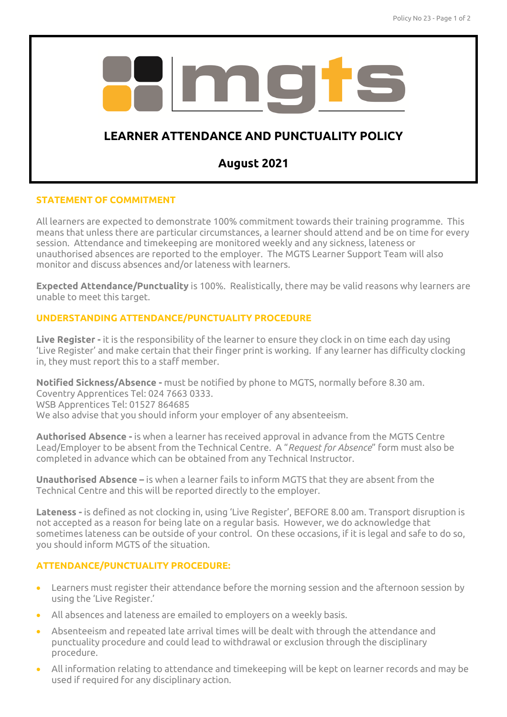

# **STATEMENT OF COMMITMENT**

All learners are expected to demonstrate 100% commitment towards their training programme. This means that unless there are particular circumstances, a learner should attend and be on time for every session. Attendance and timekeeping are monitored weekly and any sickness, lateness or unauthorised absences are reported to the employer. The MGTS Learner Support Team will also monitor and discuss absences and/or lateness with learners.

**Expected Attendance/Punctuality** is 100%. Realistically, there may be valid reasons why learners are unable to meet this target.

# **UNDERSTANDING ATTENDANCE/PUNCTUALITY PROCEDURE**

**Live Register -** it is the responsibility of the learner to ensure they clock in on time each day using 'Live Register' and make certain that their finger print is working. If any learner has difficulty clocking in, they must report this to a staff member.

**Notified Sickness/Absence -** must be notified by phone to MGTS, normally before 8.30 am. Coventry Apprentices Tel: 024 7663 0333. WSB Apprentices Tel: 01527 864685 We also advise that you should inform your employer of any absenteeism.

**Authorised Absence -** is when a learner has received approval in advance from the MGTS Centre Lead/Employer to be absent from the Technical Centre. A "*Request for Absence*" form must also be completed in advance which can be obtained from any Technical Instructor.

**Unauthorised Absence –** is when a learner fails to inform MGTS that they are absent from the Technical Centre and this will be reported directly to the employer.

**Lateness -** is defined as not clocking in, using 'Live Register', BEFORE 8.00 am. Transport disruption is not accepted as a reason for being late on a regular basis. However, we do acknowledge that sometimes lateness can be outside of your control. On these occasions, if it is legal and safe to do so, you should inform MGTS of the situation.

# **ATTENDANCE/PUNCTUALITY PROCEDURE:**

- Learners must register their attendance before the morning session and the afternoon session by using the 'Live Register.'
- All absences and lateness are emailed to employers on a weekly basis.
- Absenteeism and repeated late arrival times will be dealt with through the attendance and punctuality procedure and could lead to withdrawal or exclusion through the disciplinary procedure.
- All information relating to attendance and timekeeping will be kept on learner records and may be used if required for any disciplinary action.